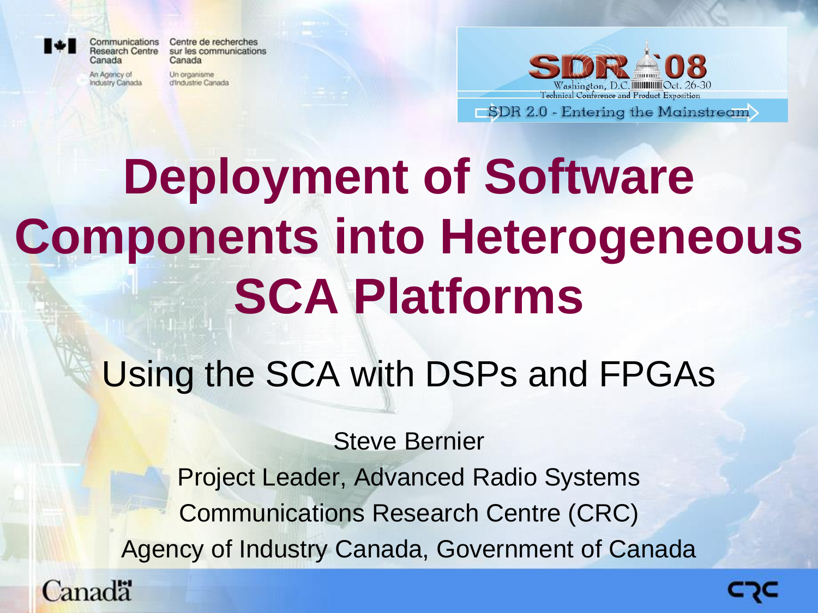

Communications Centre de recherches **Research Centre** sur les communications Canada

An Agency of Industry Canada

Canada

Un organisme d'Industrie Canada



**Deployment of Software Components into Heterogeneous SCA Platforms**

Using the SCA with DSPs and FPGAs

Steve Bernier Project Leader, Advanced Radio Systems Communications Research Centre (CRC) Agency of Industry Canada, Government of Canada

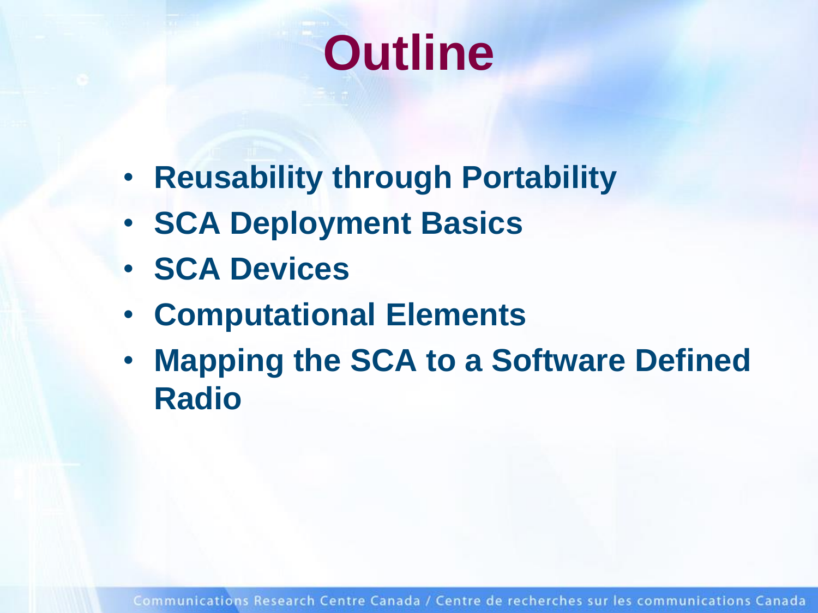## **Outline**

- **Reusability through Portability**
- **SCA Deployment Basics**
- **SCA Devices**
- **Computational Elements**
- **Mapping the SCA to a Software Defined Radio**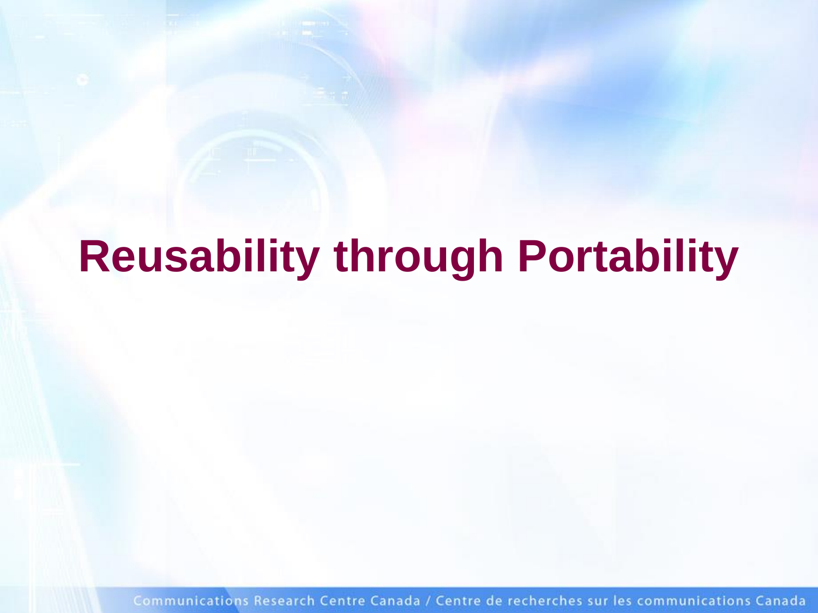### **Reusability through Portability**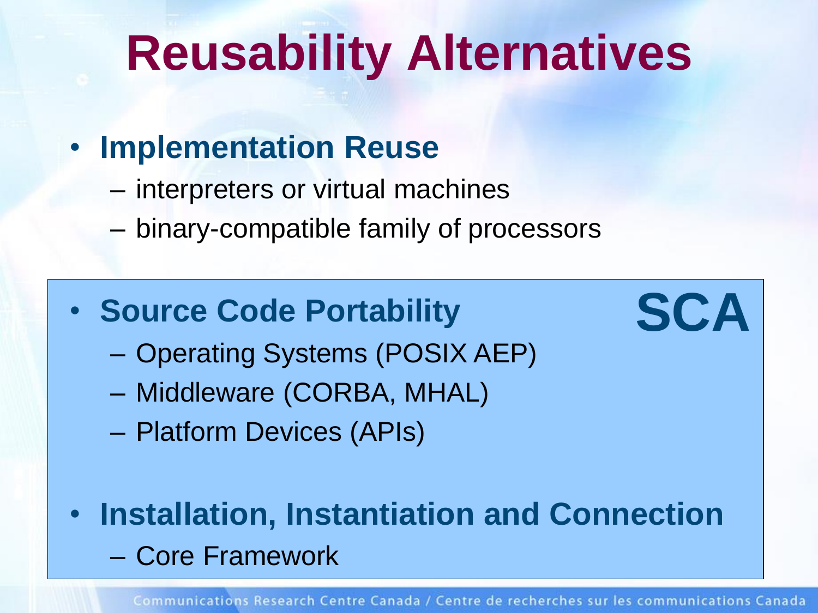### **Reusability Alternatives**

#### • **Implementation Reuse**

- interpreters or virtual machines
- binary-compatible family of processors

#### • Source Code Portability **SCA**

- Operating Systems (POSIX AEP)
- Middleware (CORBA, MHAL)
- Platform Devices (APIs)
- **Installation, Instantiation and Connection** – Core Framework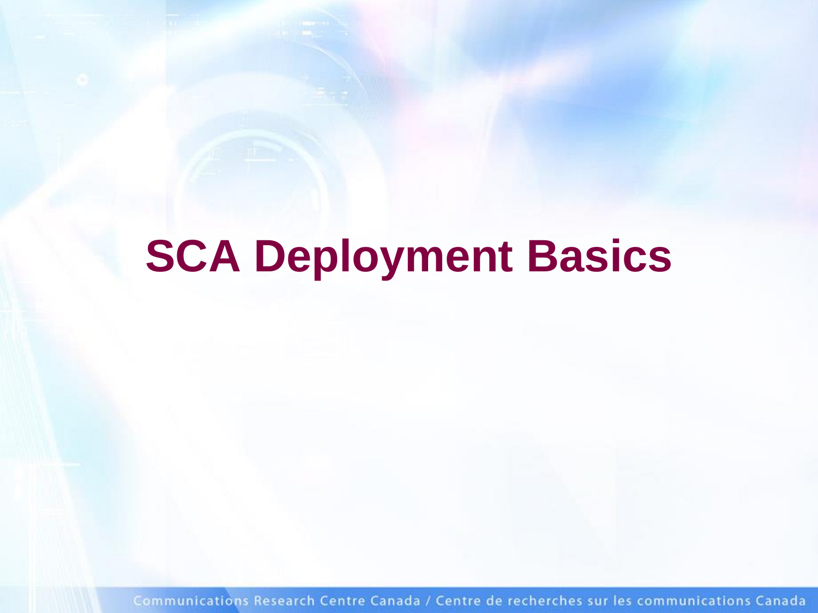#### **SCA Deployment Basics**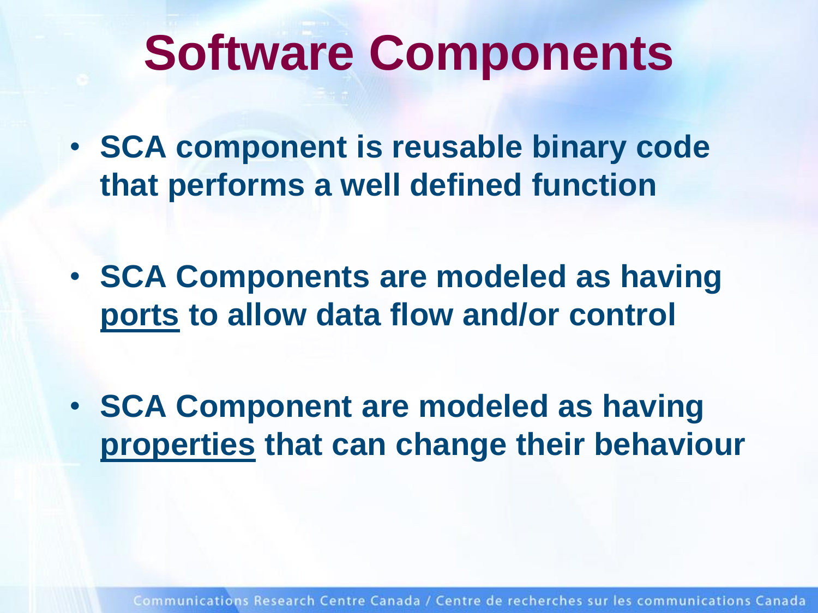### **Software Components**

- **SCA component is reusable binary code that performs a well defined function**
- **SCA Components are modeled as having ports to allow data flow and/or control**
- **SCA Component are modeled as having properties that can change their behaviour**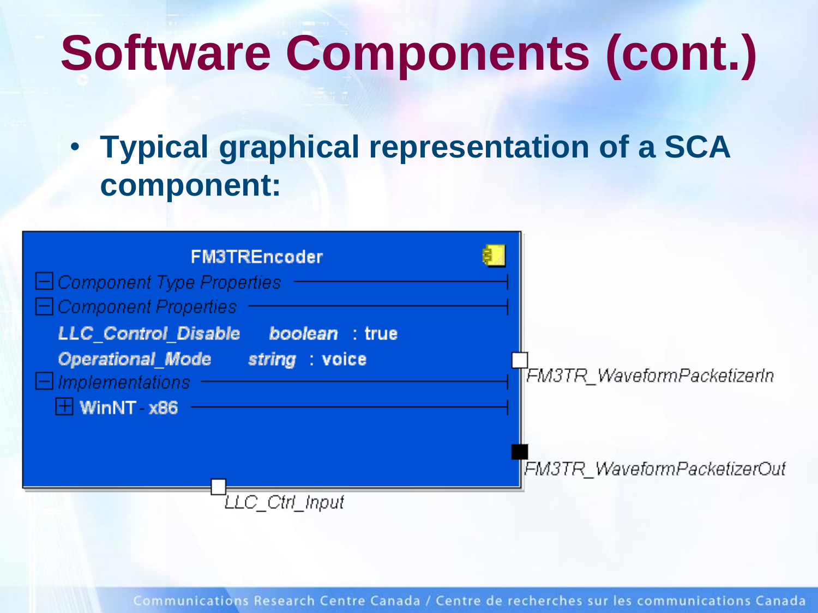# **Software Components (cont.)**

• **Typical graphical representation of a SCA component:**

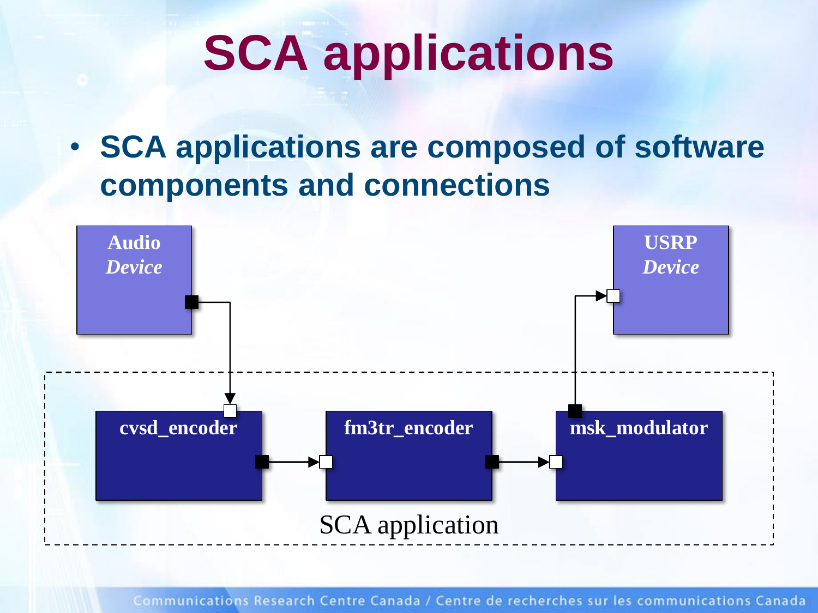# **SCA applications**

• **SCA applications are composed of software components and connections**

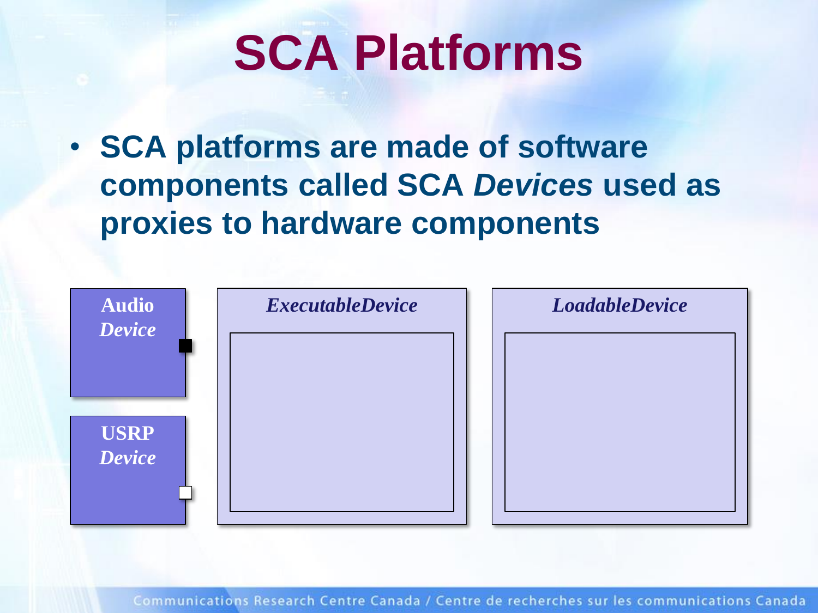## **SCA Platforms**

• **SCA platforms are made of software components called SCA** *Devices* **used as proxies to hardware components**

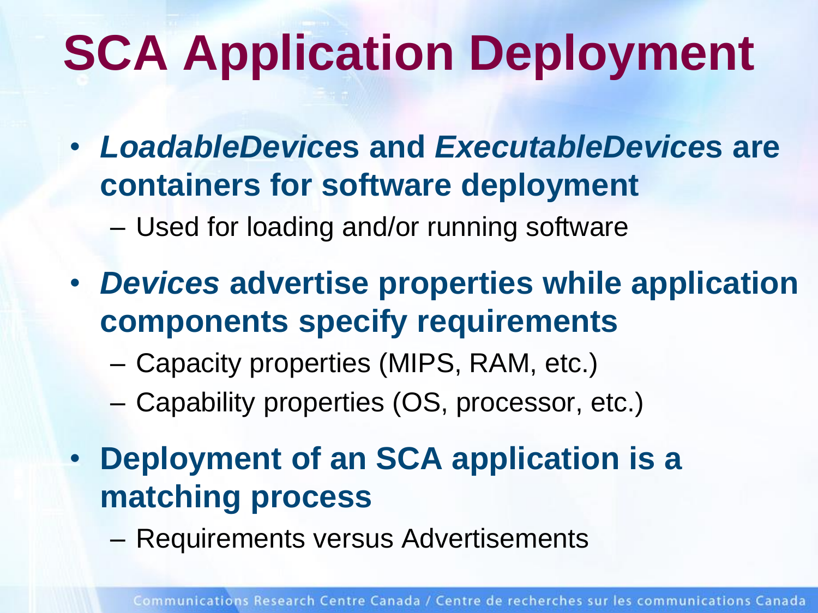# **SCA Application Deployment**

- *LoadableDevice***s and** *ExecutableDevice***s are containers for software deployment**
	- Used for loading and/or running software
- *Devices* **advertise properties while application components specify requirements**
	- Capacity properties (MIPS, RAM, etc.)
	- Capability properties (OS, processor, etc.)
- **Deployment of an SCA application is a matching process**
	- Requirements versus Advertisements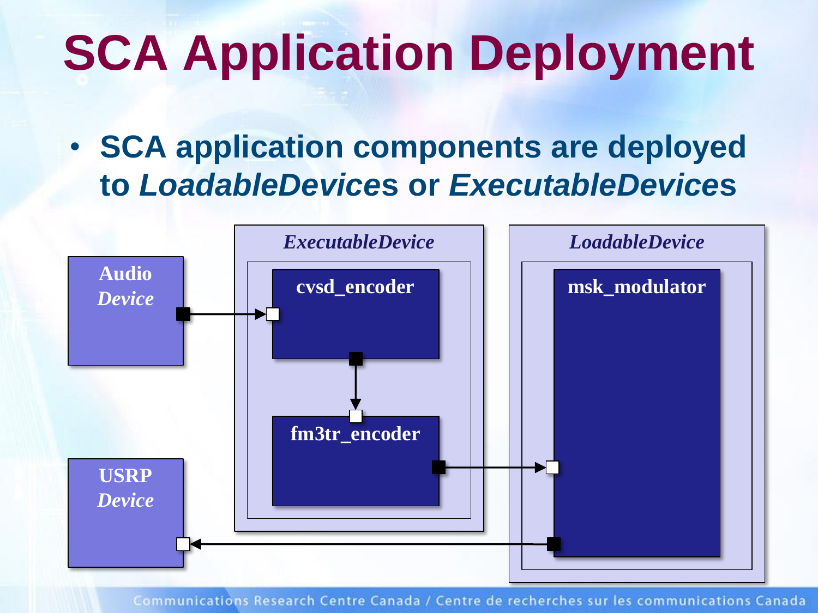# **SCA Application Deployment**

• **SCA application components are deployed to** *LoadableDevice***s or** *ExecutableDevice***s**

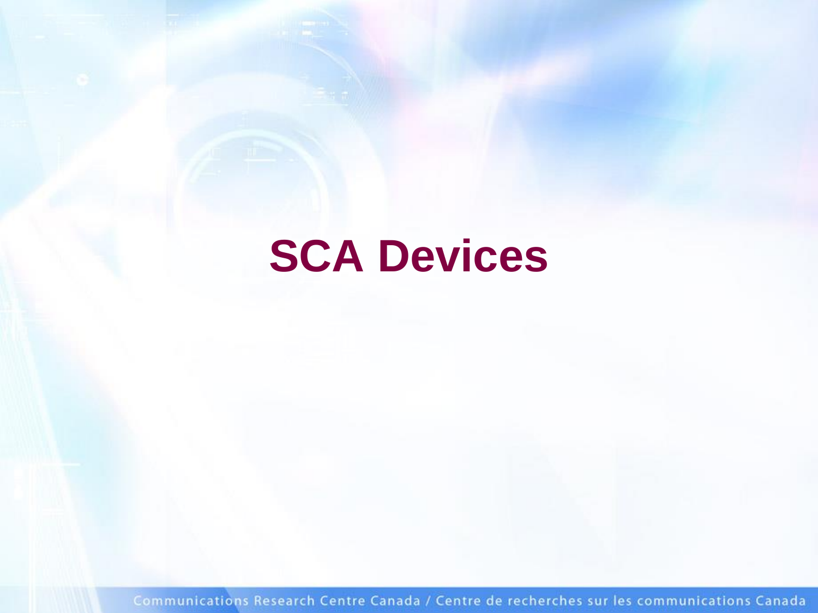#### **SCA Devices**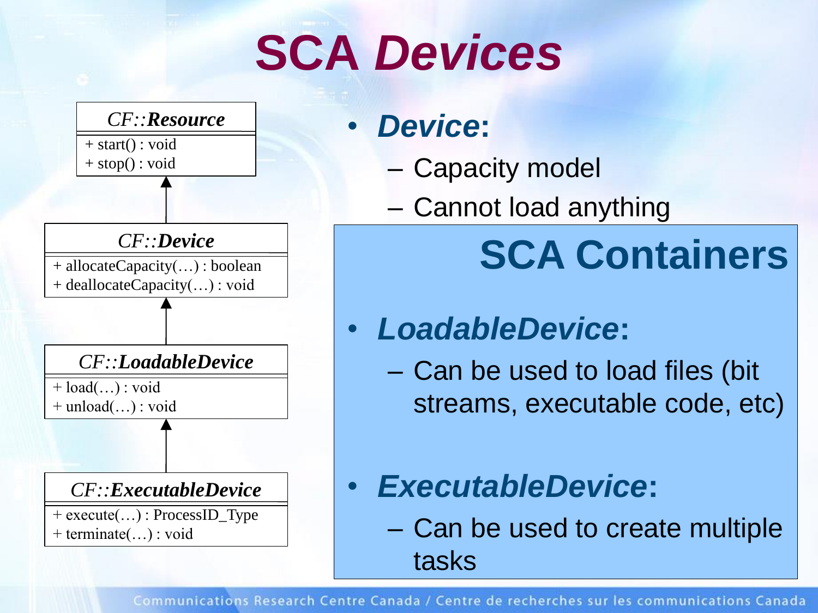# **SCA** *Devices*



#### • *Device***:**

- Capacity model
- Cannot load anything

### **SCA Containers**

#### • *LoadableDevice***:**

- Can be used to load files (bit streams, executable code, etc)
- *ExecutableDevice***:**
	- Can be used to create multiple tasks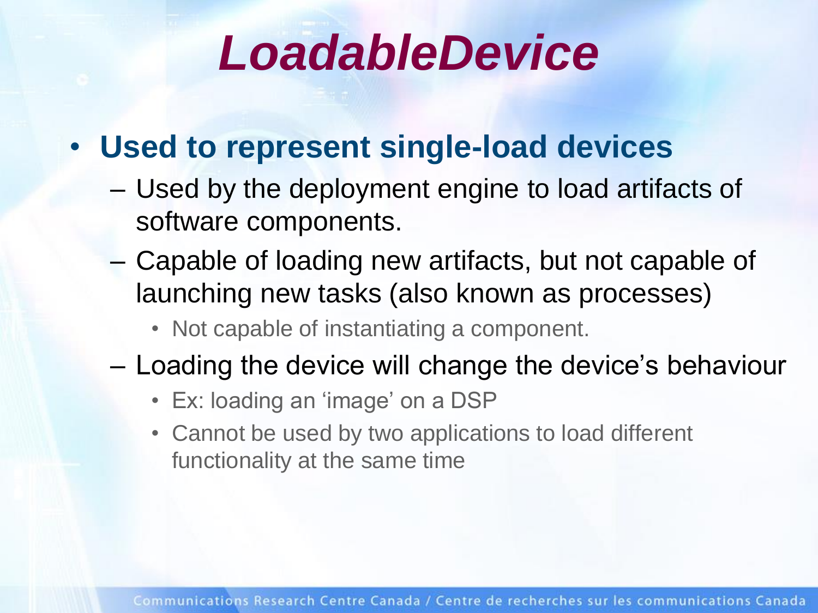### *LoadableDevice*

#### • **Used to represent single-load devices**

- Used by the deployment engine to load artifacts of software components.
- Capable of loading new artifacts, but not capable of launching new tasks (also known as processes)
	- Not capable of instantiating a component.
- Loading the device will change the device's behaviour
	- Ex: loading an 'image' on a DSP
	- Cannot be used by two applications to load different functionality at the same time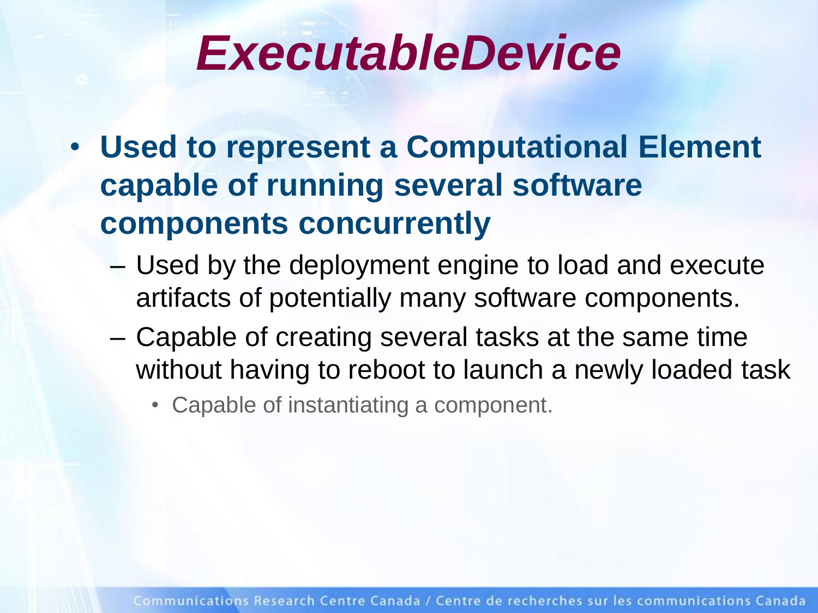### *ExecutableDevice*

- **Used to represent a Computational Element capable of running several software components concurrently**
	- Used by the deployment engine to load and execute artifacts of potentially many software components.
	- Capable of creating several tasks at the same time without having to reboot to launch a newly loaded task
		- Capable of instantiating a component.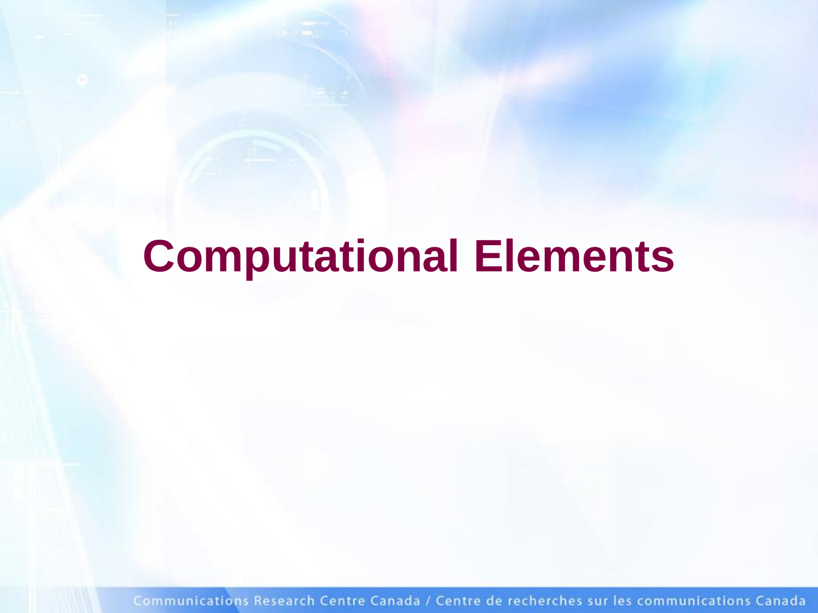### **Computational Elements**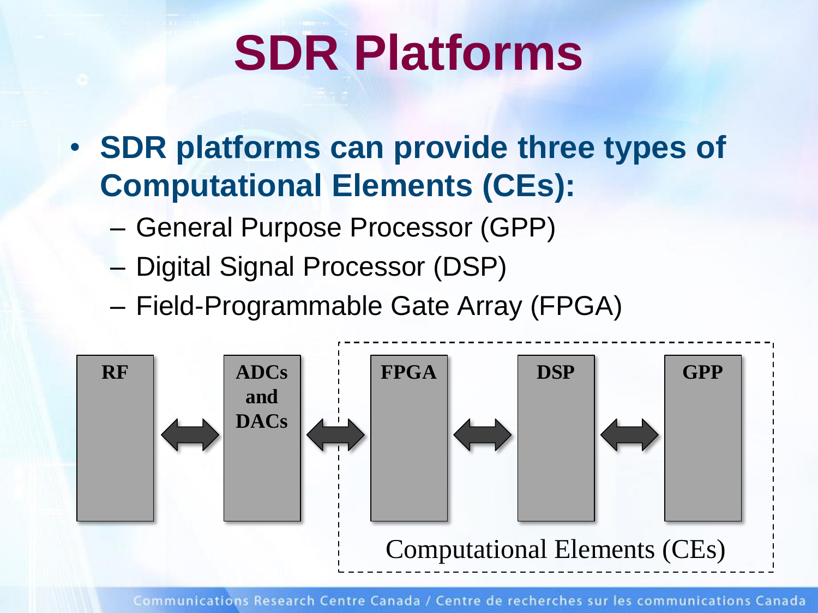# **SDR Platforms**

- **SDR platforms can provide three types of Computational Elements (CEs):**
	- General Purpose Processor (GPP)
	- Digital Signal Processor (DSP)
	- Field-Programmable Gate Array (FPGA)

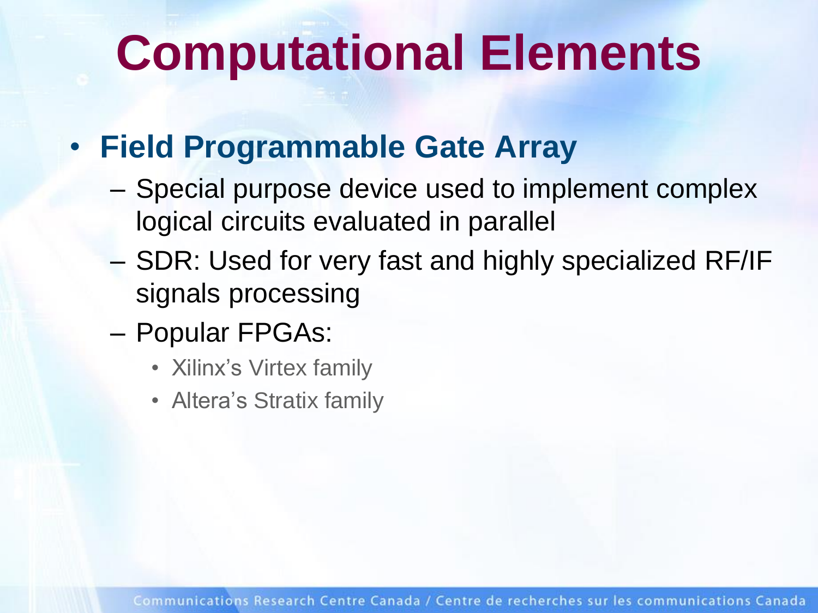## **Computational Elements**

#### • **Field Programmable Gate Array**

- Special purpose device used to implement complex logical circuits evaluated in parallel
- SDR: Used for very fast and highly specialized RF/IF signals processing
- Popular FPGAs:
	- Xilinx's Virtex family
	- Altera's Stratix family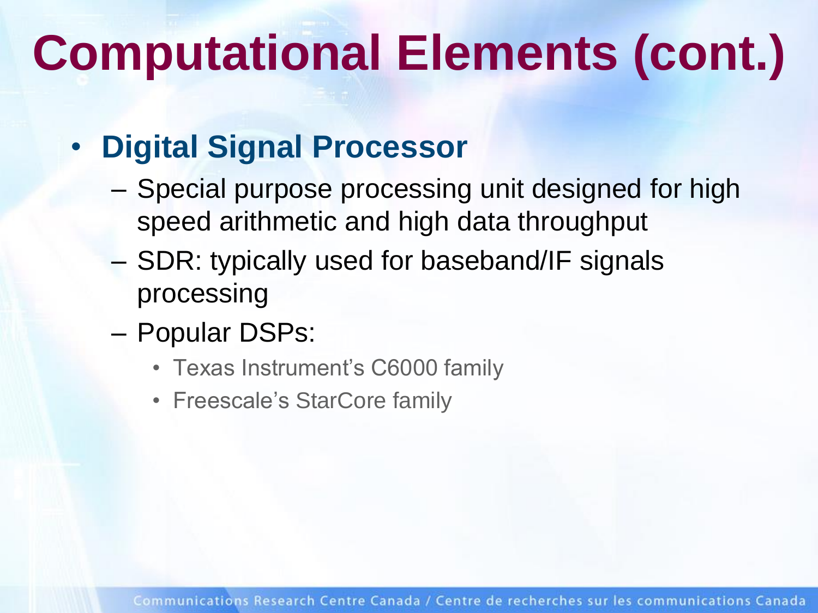# **Computational Elements (cont.)**

#### • **Digital Signal Processor**

- Special purpose processing unit designed for high speed arithmetic and high data throughput
- SDR: typically used for baseband/IF signals processing
- Popular DSPs:
	- Texas Instrument's C6000 family
	- Freescale's StarCore family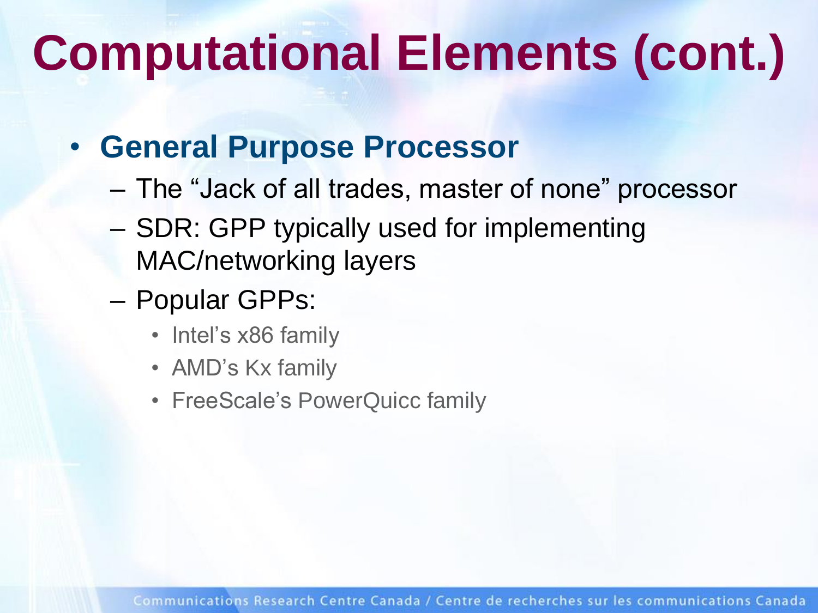# **Computational Elements (cont.)**

#### • **General Purpose Processor**

- The "Jack of all trades, master of none" processor
- SDR: GPP typically used for implementing MAC/networking layers
- Popular GPPs:
	- Intel's x86 family
	- AMD's Kx family
	- FreeScale's PowerQuicc family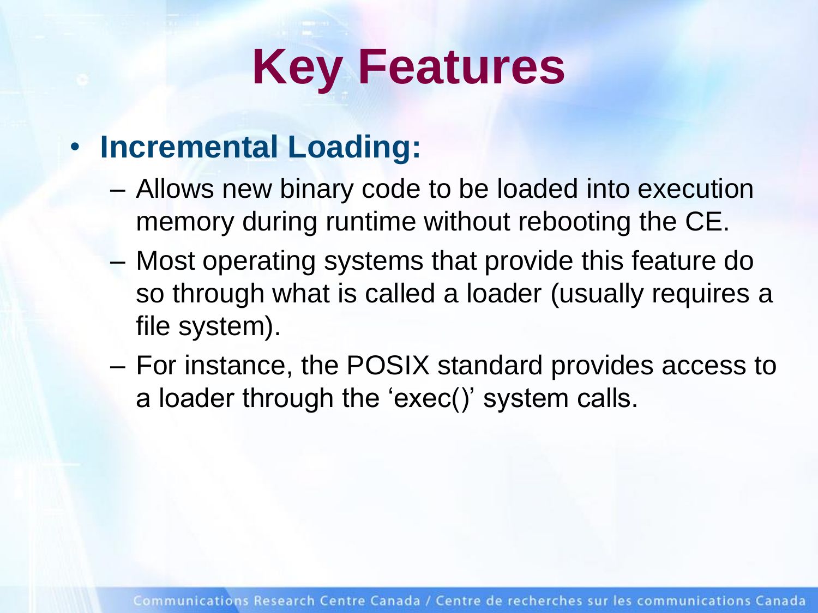# **Key Features**

#### • **Incremental Loading:**

- Allows new binary code to be loaded into execution memory during runtime without rebooting the CE.
- Most operating systems that provide this feature do so through what is called a loader (usually requires a file system).
- For instance, the POSIX standard provides access to a loader through the 'exec()' system calls.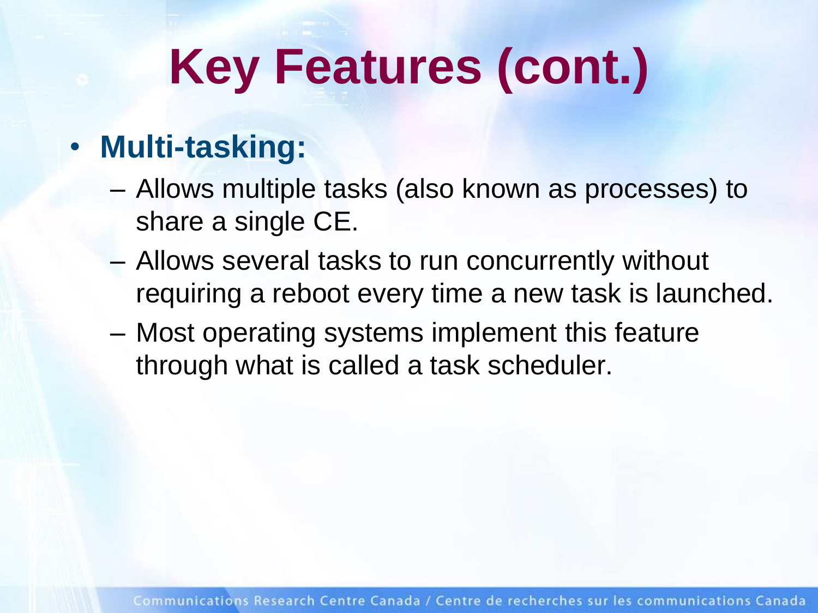# **Key Features (cont.)**

#### • **Multi-tasking:**

- Allows multiple tasks (also known as processes) to share a single CE.
- Allows several tasks to run concurrently without requiring a reboot every time a new task is launched.
- Most operating systems implement this feature through what is called a task scheduler.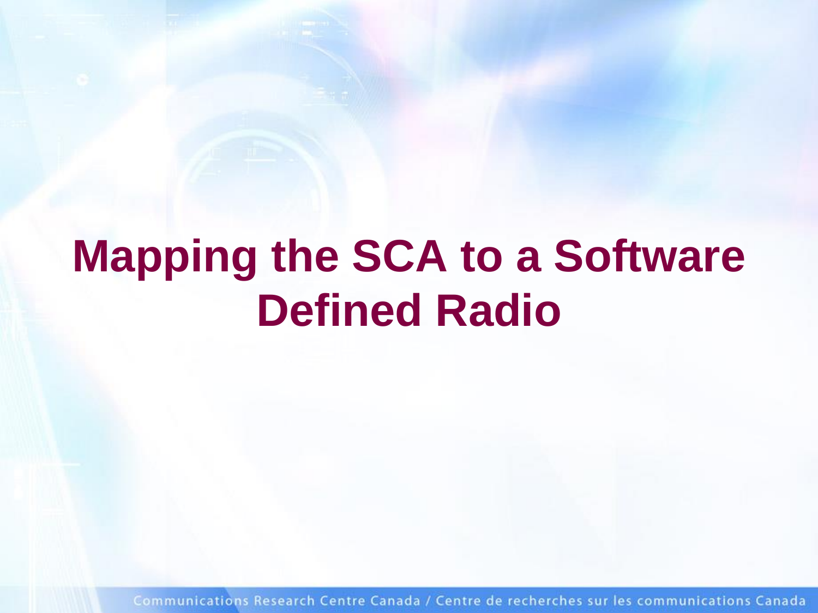### **Mapping the SCA to a Software Defined Radio**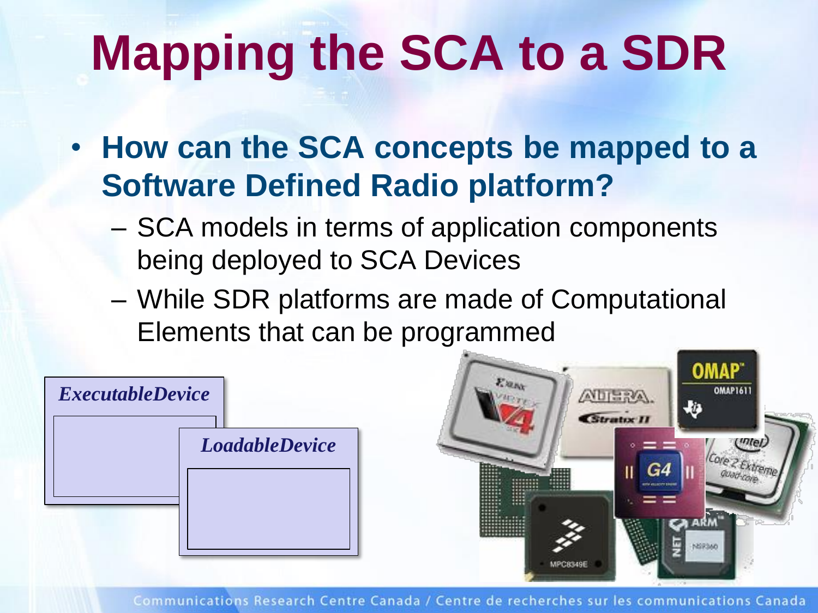# **Mapping the SCA to a SDR**

- **How can the SCA concepts be mapped to a Software Defined Radio platform?**
	- SCA models in terms of application components being deployed to SCA Devices
	- While SDR platforms are made of Computational Elements that can be programmed

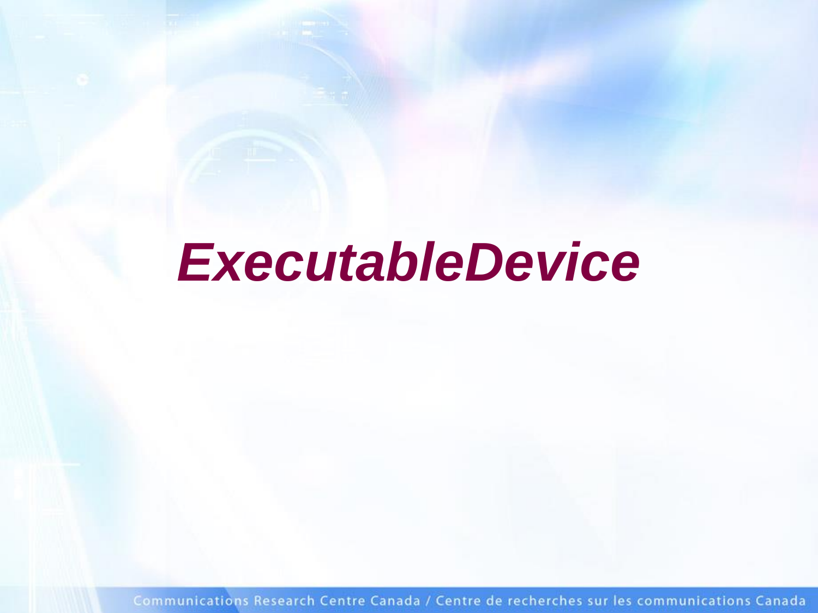### *ExecutableDevice*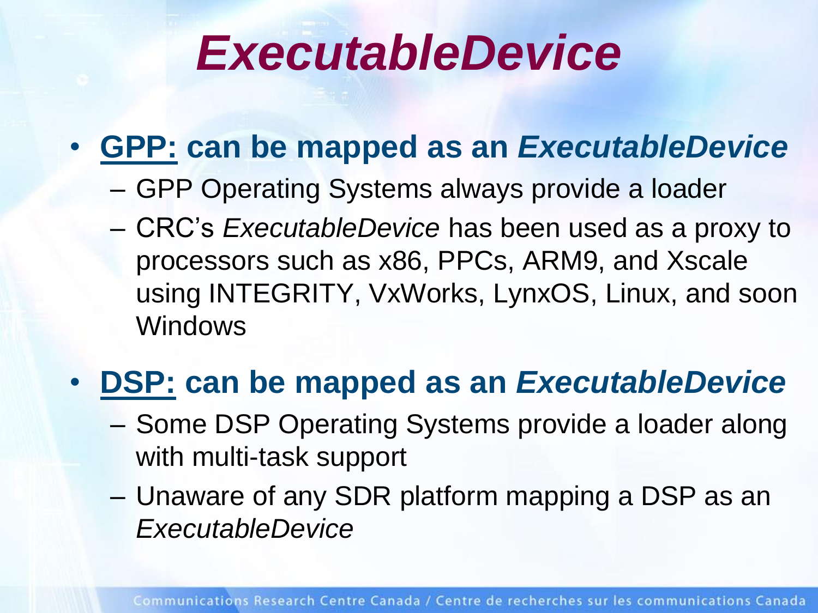### *ExecutableDevice*

#### • **GPP: can be mapped as an** *ExecutableDevice*

- GPP Operating Systems always provide a loader
- CRC's *ExecutableDevice* has been used as a proxy to processors such as x86, PPCs, ARM9, and Xscale using INTEGRITY, VxWorks, LynxOS, Linux, and soon Windows

#### • **DSP: can be mapped as an** *ExecutableDevice*

- Some DSP Operating Systems provide a loader along with multi-task support
- Unaware of any SDR platform mapping a DSP as an *ExecutableDevice*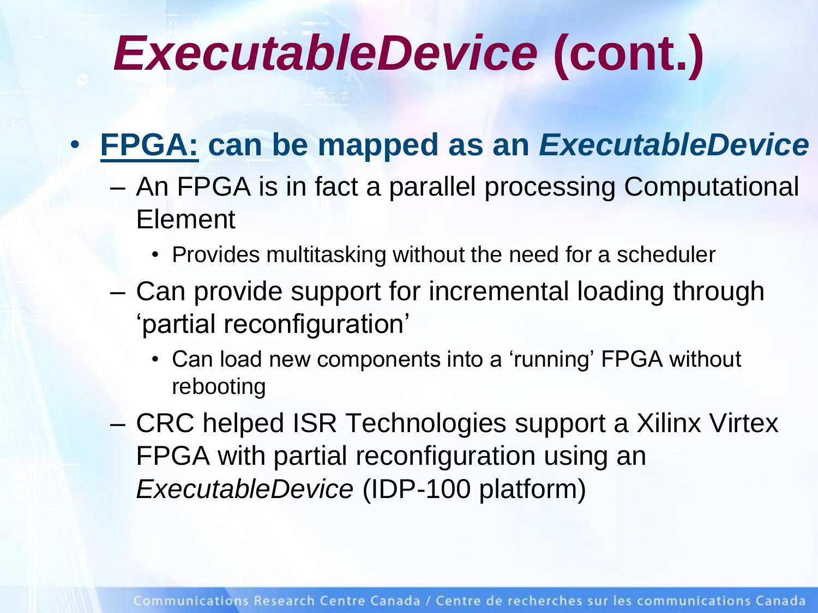## *ExecutableDevice* **(cont.)**

#### • **FPGA: can be mapped as an** *ExecutableDevice*

- An FPGA is in fact a parallel processing Computational Element
	- Provides multitasking without the need for a scheduler
- Can provide support for incremental loading through 'partial reconfiguration'
	- Can load new components into a 'running' FPGA without rebooting
- CRC helped ISR Technologies support a Xilinx Virtex FPGA with partial reconfiguration using an *ExecutableDevice* (IDP-100 platform)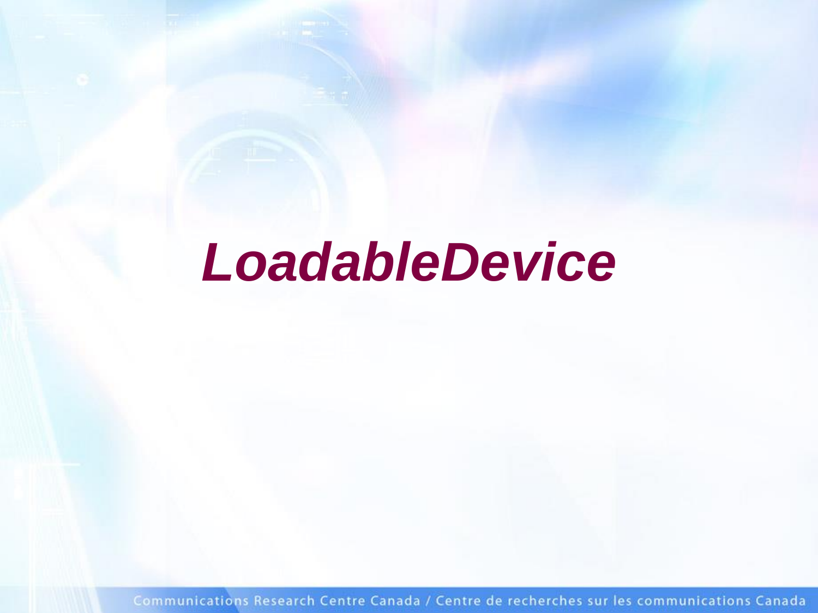### *LoadableDevice*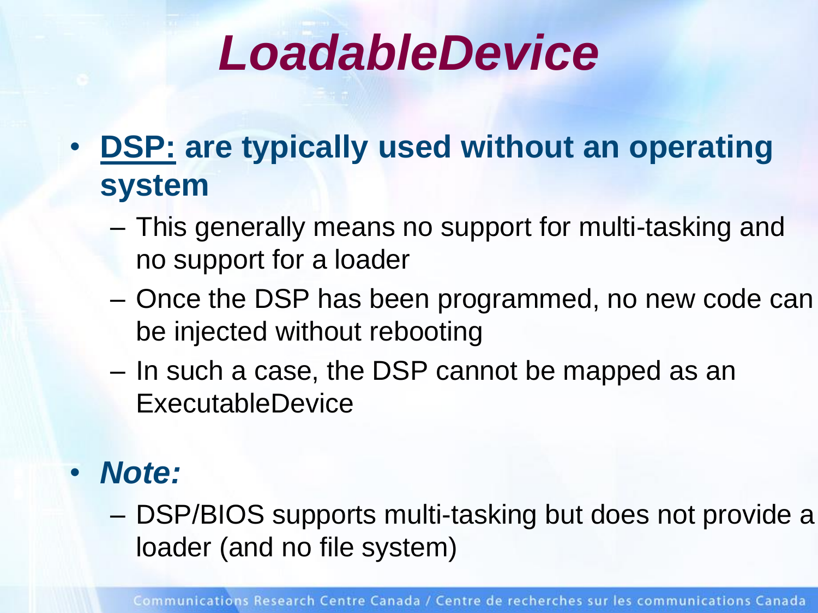### *LoadableDevice*

- **DSP: are typically used without an operating system**
	- This generally means no support for multi-tasking and no support for a loader
	- Once the DSP has been programmed, no new code can be injected without rebooting
	- In such a case, the DSP cannot be mapped as an ExecutableDevice
- *Note:* 
	- DSP/BIOS supports multi-tasking but does not provide a loader (and no file system)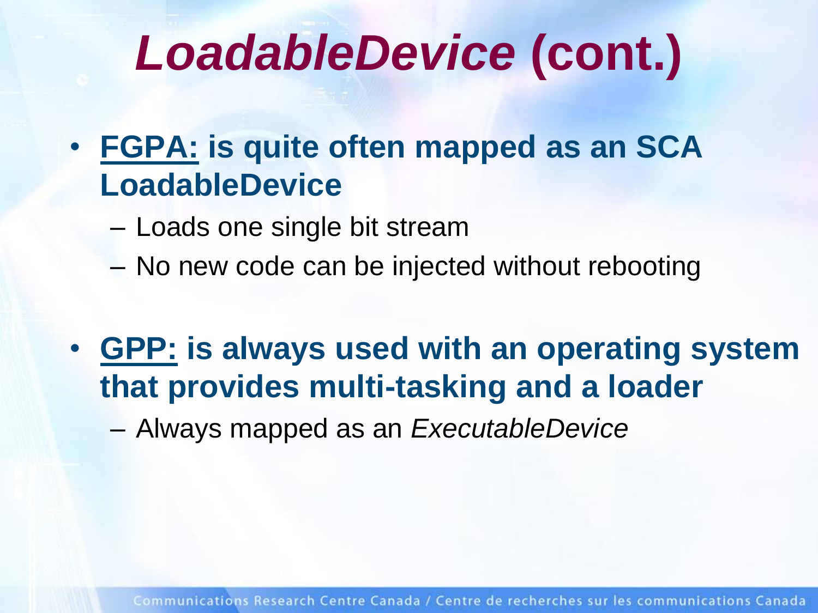## *LoadableDevice* **(cont.)**

- **FGPA: is quite often mapped as an SCA LoadableDevice**
	- Loads one single bit stream
	- No new code can be injected without rebooting
- **GPP: is always used with an operating system that provides multi-tasking and a loader**

– Always mapped as an *ExecutableDevice*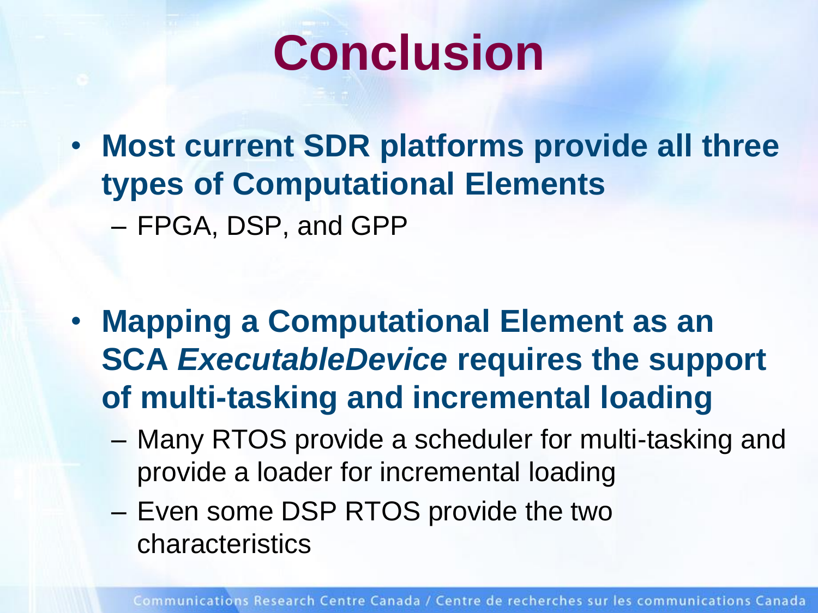### **Conclusion**

• **Most current SDR platforms provide all three types of Computational Elements** – FPGA, DSP, and GPP

- **Mapping a Computational Element as an SCA** *ExecutableDevice* **requires the support of multi-tasking and incremental loading**
	- Many RTOS provide a scheduler for multi-tasking and provide a loader for incremental loading
	- Even some DSP RTOS provide the two characteristics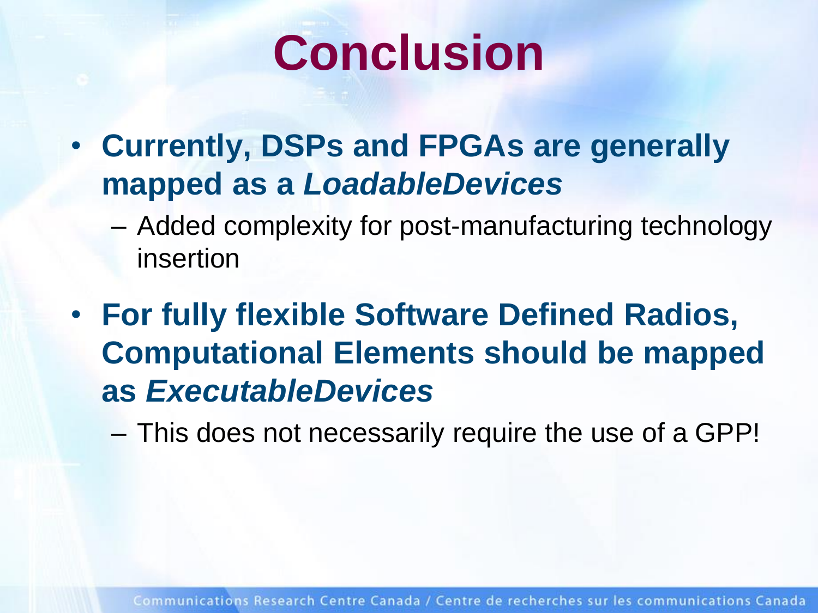

- **Currently, DSPs and FPGAs are generally mapped as a** *LoadableDevices*
	- Added complexity for post-manufacturing technology insertion
- **For fully flexible Software Defined Radios, Computational Elements should be mapped as** *ExecutableDevices*
	- This does not necessarily require the use of a GPP!